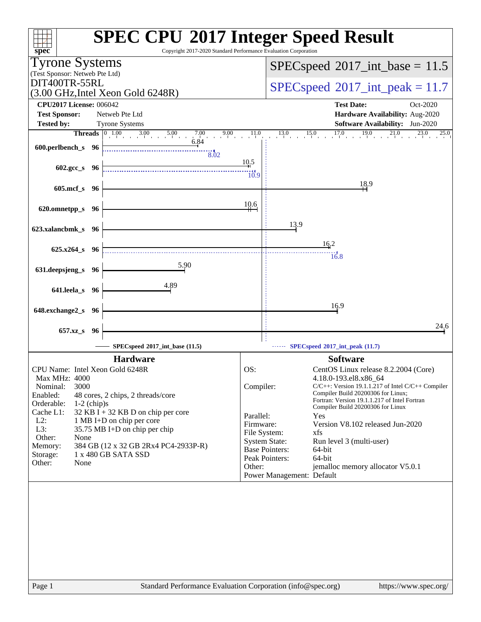| $spec^*$                                                                              | <b>SPEC CPU®2017 Integer Speed Result</b><br>Copyright 2017-2020 Standard Performance Evaluation Corporation |
|---------------------------------------------------------------------------------------|--------------------------------------------------------------------------------------------------------------|
| <b>Tyrone Systems</b>                                                                 |                                                                                                              |
| (Test Sponsor: Netweb Pte Ltd)                                                        | $SPEC speed^{\circ}2017\_int\_base = 11.5$                                                                   |
| DIT400TR-55RL                                                                         |                                                                                                              |
| $(3.00 \text{ GHz}, \text{Intel Xeon Gold } 6248\text{R})$                            | $SPEC speed^{\circ}2017\_int\_peak = 11.7$                                                                   |
| <b>CPU2017 License: 006042</b>                                                        | <b>Test Date:</b><br>Oct-2020                                                                                |
| <b>Test Sponsor:</b><br>Netweb Pte Ltd                                                | Hardware Availability: Aug-2020                                                                              |
| <b>Tested by:</b><br><b>Tyrone Systems</b>                                            | <b>Software Availability:</b> Jun-2020                                                                       |
| <b>Threads</b> $\begin{bmatrix} 0 & 1.00 & 3.00 & 5.00 \end{bmatrix}$<br>9.00<br>7.00 | 13.0<br>17.0<br>19.0<br>$^{21.0}$<br>11.0<br>$\frac{15.0}{1}$<br>$\overline{23.0}$ $25.0$                    |
| 6.84<br>600.perlbench_s 96                                                            |                                                                                                              |
| 8.02                                                                                  |                                                                                                              |
| 602.gcc_s 96                                                                          | 10.5                                                                                                         |
|                                                                                       | $\frac{111}{10.9}$                                                                                           |
| $605$ .mcf_s<br>- 96                                                                  | 18.9                                                                                                         |
|                                                                                       |                                                                                                              |
| 620.omnetpp_s 96                                                                      | 10.6                                                                                                         |
|                                                                                       |                                                                                                              |
| 623.xalancbmk_s 96                                                                    | 13.9                                                                                                         |
|                                                                                       |                                                                                                              |
| 625.x264_s 96                                                                         | 16.2                                                                                                         |
|                                                                                       | $\frac{1}{6.8}$                                                                                              |
| $\frac{5.90}{2}$<br>631.deepsjeng_s<br>- 96                                           |                                                                                                              |
|                                                                                       |                                                                                                              |
| 4.89<br>641.leela_s 96                                                                |                                                                                                              |
|                                                                                       |                                                                                                              |
| 648.exchange2_s<br>-96                                                                | 16.9                                                                                                         |
|                                                                                       |                                                                                                              |
| 657.xz_s<br>-96                                                                       | 24,6                                                                                                         |
| SPECspeed <sup>®</sup> 2017_int_base (11.5)                                           | SPECspeed <sup>®</sup> 2017_int_peak (11.7)                                                                  |
| <b>Hardware</b>                                                                       | <b>Software</b>                                                                                              |
| CPU Name: Intel Xeon Gold 6248R                                                       | OS:<br>CentOS Linux release 8.2.2004 (Core)                                                                  |
| <b>Max MHz: 4000</b>                                                                  | 4.18.0-193.el8.x86 64                                                                                        |
| 3000<br>Nominal:                                                                      | Compiler:<br>$C/C++$ : Version 19.1.1.217 of Intel $C/C++$ Compiler                                          |
| Enabled:<br>48 cores, 2 chips, 2 threads/core                                         | Compiler Build 20200306 for Linux;<br>Fortran: Version 19.1.1.217 of Intel Fortran                           |
| Orderable:<br>$1-2$ (chip)s<br>Cache L1:<br>$32$ KB I + 32 KB D on chip per core      | Compiler Build 20200306 for Linux                                                                            |
| $L2$ :<br>1 MB I+D on chip per core                                                   | Parallel:<br>Yes<br>Firmware:<br>Version V8.102 released Jun-2020                                            |
| L3:<br>35.75 MB I+D on chip per chip                                                  | File System:<br>xfs                                                                                          |
| Other:<br>None                                                                        | <b>System State:</b><br>Run level 3 (multi-user)                                                             |
| 384 GB (12 x 32 GB 2Rx4 PC4-2933P-R)<br>Memory:<br>1 x 480 GB SATA SSD<br>Storage:    | <b>Base Pointers:</b><br>64-bit                                                                              |
| Other:<br>None                                                                        | Peak Pointers:<br>$64$ -bit                                                                                  |
|                                                                                       | Other:<br>jemalloc memory allocator V5.0.1<br>Power Management: Default                                      |
|                                                                                       |                                                                                                              |
|                                                                                       |                                                                                                              |
|                                                                                       |                                                                                                              |
|                                                                                       |                                                                                                              |
|                                                                                       |                                                                                                              |
|                                                                                       |                                                                                                              |
|                                                                                       |                                                                                                              |
|                                                                                       |                                                                                                              |
|                                                                                       |                                                                                                              |
|                                                                                       |                                                                                                              |
| Page 1                                                                                | Standard Performance Evaluation Corporation (info@spec.org)<br>https://www.spec.org/                         |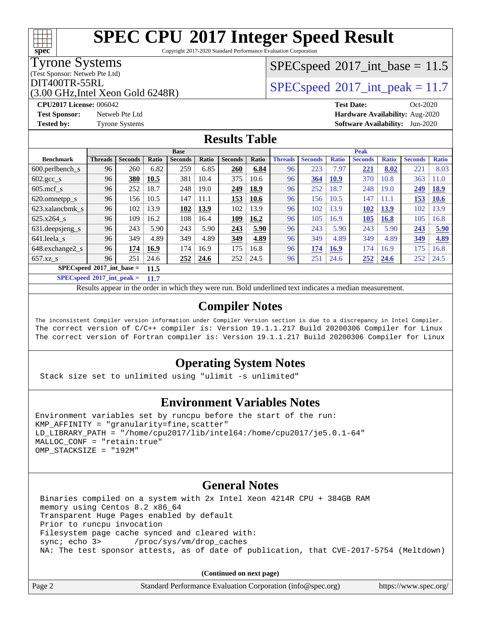Copyright 2017-2020 Standard Performance Evaluation Corporation

### Tyrone Systems

**[spec](http://www.spec.org/)**

(Test Sponsor: Netweb Pte Ltd)

(3.00 GHz,Intel Xeon Gold 6248R)

### $SPECspeed^{\circledcirc}2017\_int\_base = 11.5$  $SPECspeed^{\circledcirc}2017\_int\_base = 11.5$

### DIT400TR-55RL<br> $SPEC speed^{\circ}2017$ \_int\_peak = 11.7

**[CPU2017 License:](http://www.spec.org/auto/cpu2017/Docs/result-fields.html#CPU2017License)** 006042 **[Test Date:](http://www.spec.org/auto/cpu2017/Docs/result-fields.html#TestDate)** Oct-2020 **[Test Sponsor:](http://www.spec.org/auto/cpu2017/Docs/result-fields.html#TestSponsor)** Netweb Pte Ltd **[Hardware Availability:](http://www.spec.org/auto/cpu2017/Docs/result-fields.html#HardwareAvailability)** Aug-2020 **[Tested by:](http://www.spec.org/auto/cpu2017/Docs/result-fields.html#Testedby)** Tyrone Systems **[Software Availability:](http://www.spec.org/auto/cpu2017/Docs/result-fields.html#SoftwareAvailability)** Jun-2020

### **[Results Table](http://www.spec.org/auto/cpu2017/Docs/result-fields.html#ResultsTable)**

|                               | <b>Base</b>    |                |       |                | <b>Peak</b> |                |       |                |                |              |                |              |                |              |
|-------------------------------|----------------|----------------|-------|----------------|-------------|----------------|-------|----------------|----------------|--------------|----------------|--------------|----------------|--------------|
| <b>Benchmark</b>              | <b>Threads</b> | <b>Seconds</b> | Ratio | <b>Seconds</b> | Ratio       | <b>Seconds</b> | Ratio | <b>Threads</b> | <b>Seconds</b> | <b>Ratio</b> | <b>Seconds</b> | <b>Ratio</b> | <b>Seconds</b> | <b>Ratio</b> |
| $600.$ perlbench $\mathsf{S}$ | 96             | 260            | 6.82  | 259            | 6.85        | 260            | 6.84  | 96             | 223            | 7.97         | 221            | 8.02         | 221            | 8.03         |
| $602.\text{gcc}\_\text{s}$    | 96             | 380            | 10.5  | 381            | 10.4        | 375            | 10.6  | 96             | 364            | <b>10.9</b>  | 370            | 10.8         | 363            | 11.0         |
| $605$ .mcf s                  | 96             | 252            | 18.7  | 248            | 19.0        | 249            | 18.9  | 96             | 252            | 18.7         | 248            | 19.0         | 249            | <b>18.9</b>  |
| 620.omnetpp_s                 | 96             | 156            | 10.5  | 147            | 11.1        | 153            | 10.6  | 96             | 156            | 10.5         | 147            | 11.1         | 153            | 10.6         |
| 623.xalancbmk s               | 96             | 102            | 13.9  | <u>102</u>     | 13.9        | 102            | 13.9  | 96             | 102            | 13.9         | 102            | <b>13.9</b>  | 102            | 13.9         |
| 625.x264 s                    | 96             | 109            | 16.2  | 108            | 16.4        | 109            | 16.2  | 96             | 105            | 16.9         | 105            | <b>16.8</b>  | 105            | 16.8         |
| 631.deepsjeng_s               | 96             | 243            | 5.90  | 243            | 5.90        | 243            | 5.90  | 96             | 243            | 5.90         | 243            | 5.90         | 243            | 5.90         |
| 641.leela s                   | 96             | 349            | 4.89  | 349            | 4.89        | 349            | 4.89  | 96             | 349            | 4.89         | 349            | 4.89         | 349            | 4.89         |
| 648.exchange2 s               | 96             | 174            | 16.9  | 174            | 16.9        | 175            | 16.8  | 96             | 174            | 16.9         | 174            | 16.9         | 175            | 16.8         |
| $657.xz$ <sub>S</sub>         | 96             | 251            | 24.6  | <u>252</u>     | 24.6        | 252            | 24.5  | 96             | 251            | 24.6         | 252            | 24.6         | 252            | 24.5         |
| $SPECspeed*2017$ int base =   |                |                | 11.5  |                |             |                |       |                |                |              |                |              |                |              |

**[SPECspeed](http://www.spec.org/auto/cpu2017/Docs/result-fields.html#SPECspeed2017intpeak)[2017\\_int\\_peak =](http://www.spec.org/auto/cpu2017/Docs/result-fields.html#SPECspeed2017intpeak) 11.7**

Results appear in the [order in which they were run.](http://www.spec.org/auto/cpu2017/Docs/result-fields.html#RunOrder) Bold underlined text [indicates a median measurement](http://www.spec.org/auto/cpu2017/Docs/result-fields.html#Median).

### **[Compiler Notes](http://www.spec.org/auto/cpu2017/Docs/result-fields.html#CompilerNotes)**

The inconsistent Compiler version information under Compiler Version section is due to a discrepancy in Intel Compiler. The correct version of C/C++ compiler is: Version 19.1.1.217 Build 20200306 Compiler for Linux The correct version of Fortran compiler is: Version 19.1.1.217 Build 20200306 Compiler for Linux

### **[Operating System Notes](http://www.spec.org/auto/cpu2017/Docs/result-fields.html#OperatingSystemNotes)**

Stack size set to unlimited using "ulimit -s unlimited"

#### **[Environment Variables Notes](http://www.spec.org/auto/cpu2017/Docs/result-fields.html#EnvironmentVariablesNotes)**

```
Environment variables set by runcpu before the start of the run:
KMP AFFINITY = "granularity=fine, scatter"
LD_LIBRARY_PATH = "/home/cpu2017/lib/intel64:/home/cpu2017/je5.0.1-64"
MALLOC_CONF = "retain:true"
OMP_STACKSIZE = "192M"
```
#### **[General Notes](http://www.spec.org/auto/cpu2017/Docs/result-fields.html#GeneralNotes)**

 Binaries compiled on a system with 2x Intel Xeon 4214R CPU + 384GB RAM memory using Centos 8.2 x86\_64 Transparent Huge Pages enabled by default Prior to runcpu invocation Filesystem page cache synced and cleared with: sync; echo 3> /proc/sys/vm/drop\_caches NA: The test sponsor attests, as of date of publication, that CVE-2017-5754 (Meltdown)

**(Continued on next page)**

| Standard Performance Evaluation Corporation (info@spec.org)<br>Page 2 | https://www.spec.org/ |
|-----------------------------------------------------------------------|-----------------------|
|-----------------------------------------------------------------------|-----------------------|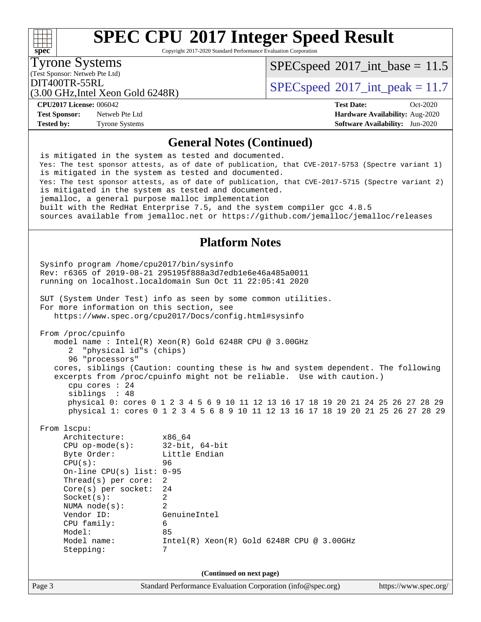Copyright 2017-2020 Standard Performance Evaluation Corporation

Tyrone Systems

 $SPECspeed^{\circ}2017\_int\_base = 11.5$  $SPECspeed^{\circ}2017\_int\_base = 11.5$ 

(Test Sponsor: Netweb Pte Ltd)

DIT400TR-55RL<br> $SPECspeed^{\circ}2017$  $SPECspeed^{\circ}2017$ \_int\_peak = 11.7

(3.00 GHz,Intel Xeon Gold 6248R)

**[Test Sponsor:](http://www.spec.org/auto/cpu2017/Docs/result-fields.html#TestSponsor)** Netweb Pte Ltd **[Hardware Availability:](http://www.spec.org/auto/cpu2017/Docs/result-fields.html#HardwareAvailability)** Aug-2020 **[Tested by:](http://www.spec.org/auto/cpu2017/Docs/result-fields.html#Testedby)** Tyrone Systems **[Software Availability:](http://www.spec.org/auto/cpu2017/Docs/result-fields.html#SoftwareAvailability)** Jun-2020

**[CPU2017 License:](http://www.spec.org/auto/cpu2017/Docs/result-fields.html#CPU2017License)** 006042 **[Test Date:](http://www.spec.org/auto/cpu2017/Docs/result-fields.html#TestDate)** Oct-2020

#### **[General Notes \(Continued\)](http://www.spec.org/auto/cpu2017/Docs/result-fields.html#GeneralNotes)**

 is mitigated in the system as tested and documented. Yes: The test sponsor attests, as of date of publication, that CVE-2017-5753 (Spectre variant 1) is mitigated in the system as tested and documented. Yes: The test sponsor attests, as of date of publication, that CVE-2017-5715 (Spectre variant 2) is mitigated in the system as tested and documented. jemalloc, a general purpose malloc implementation built with the RedHat Enterprise 7.5, and the system compiler gcc 4.8.5 sources available from jemalloc.net or<https://github.com/jemalloc/jemalloc/releases>

### **[Platform Notes](http://www.spec.org/auto/cpu2017/Docs/result-fields.html#PlatformNotes)**

Page 3 Standard Performance Evaluation Corporation [\(info@spec.org\)](mailto:info@spec.org) <https://www.spec.org/> Sysinfo program /home/cpu2017/bin/sysinfo Rev: r6365 of 2019-08-21 295195f888a3d7edb1e6e46a485a0011 running on localhost.localdomain Sun Oct 11 22:05:41 2020 SUT (System Under Test) info as seen by some common utilities. For more information on this section, see <https://www.spec.org/cpu2017/Docs/config.html#sysinfo> From /proc/cpuinfo model name : Intel(R) Xeon(R) Gold 6248R CPU @ 3.00GHz 2 "physical id"s (chips) 96 "processors" cores, siblings (Caution: counting these is hw and system dependent. The following excerpts from /proc/cpuinfo might not be reliable. Use with caution.) cpu cores : 24 siblings : 48 physical 0: cores 0 1 2 3 4 5 6 9 10 11 12 13 16 17 18 19 20 21 24 25 26 27 28 29 physical 1: cores 0 1 2 3 4 5 6 8 9 10 11 12 13 16 17 18 19 20 21 25 26 27 28 29 From lscpu: Architecture: x86\_64 CPU op-mode(s): 32-bit, 64-bit Byte Order: Little Endian CPU(s): 96 On-line CPU(s) list: 0-95 Thread(s) per core: 2 Core(s) per socket: 24 Socket(s): 2 NUMA node(s): 2 Vendor ID: GenuineIntel CPU family: 6 Model: 85 Model name: Intel(R) Xeon(R) Gold 6248R CPU @ 3.00GHz Stepping: 7 **(Continued on next page)**

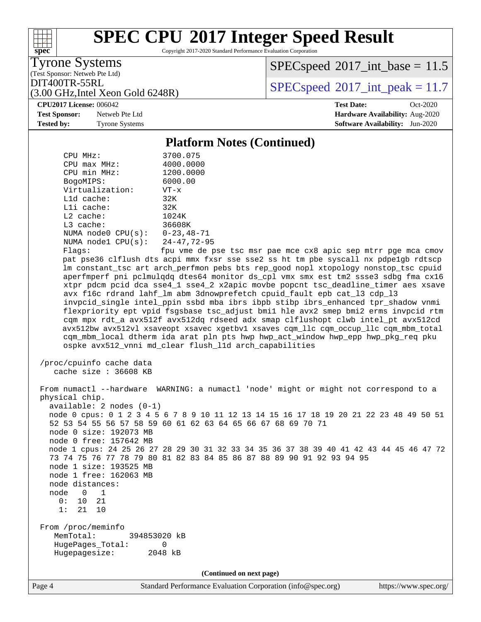Copyright 2017-2020 Standard Performance Evaluation Corporation

Tyrone Systems

**[spec](http://www.spec.org/)**

 $+\ +$ 

(Test Sponsor: Netweb Pte Ltd)

 $SPECspeed^{\circ}2017\_int\_base = 11.5$  $SPECspeed^{\circ}2017\_int\_base = 11.5$ 

DIT400TR-55RL<br> $SPECspeed^{\circ}2017$  $SPECspeed^{\circ}2017$ \_int\_peak = 11.7

(3.00 GHz,Intel Xeon Gold 6248R) **[CPU2017 License:](http://www.spec.org/auto/cpu2017/Docs/result-fields.html#CPU2017License)** 006042 **[Test Date:](http://www.spec.org/auto/cpu2017/Docs/result-fields.html#TestDate)** Oct-2020

**[Test Sponsor:](http://www.spec.org/auto/cpu2017/Docs/result-fields.html#TestSponsor)** Netweb Pte Ltd **[Hardware Availability:](http://www.spec.org/auto/cpu2017/Docs/result-fields.html#HardwareAvailability)** Aug-2020 **[Tested by:](http://www.spec.org/auto/cpu2017/Docs/result-fields.html#Testedby)** Tyrone Systems **[Software Availability:](http://www.spec.org/auto/cpu2017/Docs/result-fields.html#SoftwareAvailability)** Jun-2020

#### **[Platform Notes \(Continued\)](http://www.spec.org/auto/cpu2017/Docs/result-fields.html#PlatformNotes)**

 CPU MHz: 3700.075 CPU max MHz: 4000.0000 CPU min MHz: 1200.0000 BogoMIPS: 6000.00 Virtualization: VT-x L1d cache: 32K L1i cache: 32K L2 cache: 1024K<br>
L3 cache: 36608K  $L3$  cache: NUMA node0 CPU(s): 0-23,48-71 NUMA node1 CPU(s): 24-47,72-95 Flags: fpu vme de pse tsc msr pae mce cx8 apic sep mtrr pge mca cmov pat pse36 clflush dts acpi mmx fxsr sse sse2 ss ht tm pbe syscall nx pdpe1gb rdtscp lm constant\_tsc art arch\_perfmon pebs bts rep\_good nopl xtopology nonstop\_tsc cpuid aperfmperf pni pclmulqdq dtes64 monitor ds\_cpl vmx smx est tm2 ssse3 sdbg fma cx16 xtpr pdcm pcid dca sse4\_1 sse4\_2 x2apic movbe popcnt tsc\_deadline\_timer aes xsave avx f16c rdrand lahf\_lm abm 3dnowprefetch cpuid\_fault epb cat\_l3 cdp\_l3 invpcid\_single intel\_ppin ssbd mba ibrs ibpb stibp ibrs\_enhanced tpr\_shadow vnmi flexpriority ept vpid fsgsbase tsc\_adjust bmi1 hle avx2 smep bmi2 erms invpcid rtm cqm mpx rdt\_a avx512f avx512dq rdseed adx smap clflushopt clwb intel\_pt avx512cd avx512bw avx512vl xsaveopt xsavec xgetbv1 xsaves cqm\_llc cqm\_occup\_llc cqm\_mbm\_total cqm\_mbm\_local dtherm ida arat pln pts hwp hwp\_act\_window hwp\_epp hwp\_pkg\_req pku ospke avx512\_vnni md\_clear flush\_l1d arch\_capabilities /proc/cpuinfo cache data cache size : 36608 KB From numactl --hardware WARNING: a numactl 'node' might or might not correspond to a physical chip. available: 2 nodes (0-1) node 0 cpus: 0 1 2 3 4 5 6 7 8 9 10 11 12 13 14 15 16 17 18 19 20 21 22 23 48 49 50 51 52 53 54 55 56 57 58 59 60 61 62 63 64 65 66 67 68 69 70 71 node 0 size: 192073 MB node 0 free: 157642 MB node 1 cpus: 24 25 26 27 28 29 30 31 32 33 34 35 36 37 38 39 40 41 42 43 44 45 46 47 72 73 74 75 76 77 78 79 80 81 82 83 84 85 86 87 88 89 90 91 92 93 94 95 node 1 size: 193525 MB node 1 free: 162063 MB node distances: node 0 1 0: 10 21 1: 21 10 From /proc/meminfo MemTotal: 394853020 kB HugePages\_Total: 0 Hugepagesize: 2048 kB **(Continued on next page)**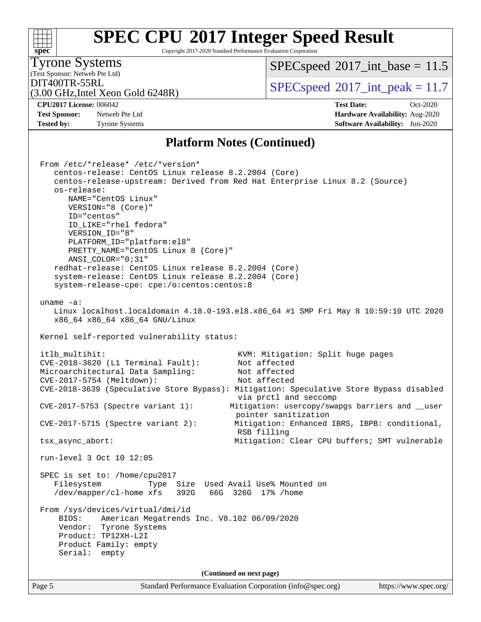#### Page 5 Standard Performance Evaluation Corporation [\(info@spec.org\)](mailto:info@spec.org) <https://www.spec.org/> **[spec](http://www.spec.org/) [SPEC CPU](http://www.spec.org/auto/cpu2017/Docs/result-fields.html#SPECCPU2017IntegerSpeedResult)[2017 Integer Speed Result](http://www.spec.org/auto/cpu2017/Docs/result-fields.html#SPECCPU2017IntegerSpeedResult)** Copyright 2017-2020 Standard Performance Evaluation Corporation (Test Sponsor: Netweb Pte Ltd) Tyrone Systems (3.00 GHz,Intel Xeon Gold 6248R) DIT400TR-55RL<br> $SPEC speed^{\circ}2017$ \_int\_peak = 11.7  $SPECspeed^{\circ}2017\_int\_base = 11.5$  $SPECspeed^{\circ}2017\_int\_base = 11.5$ **[CPU2017 License:](http://www.spec.org/auto/cpu2017/Docs/result-fields.html#CPU2017License)** 006042 **[Test Date:](http://www.spec.org/auto/cpu2017/Docs/result-fields.html#TestDate)** Oct-2020 **[Test Sponsor:](http://www.spec.org/auto/cpu2017/Docs/result-fields.html#TestSponsor)** Netweb Pte Ltd **[Hardware Availability:](http://www.spec.org/auto/cpu2017/Docs/result-fields.html#HardwareAvailability)** Aug-2020 **[Tested by:](http://www.spec.org/auto/cpu2017/Docs/result-fields.html#Testedby)** Tyrone Systems **[Software Availability:](http://www.spec.org/auto/cpu2017/Docs/result-fields.html#SoftwareAvailability)** Jun-2020 **[Platform Notes \(Continued\)](http://www.spec.org/auto/cpu2017/Docs/result-fields.html#PlatformNotes)** From /etc/\*release\* /etc/\*version\* centos-release: CentOS Linux release 8.2.2004 (Core) centos-release-upstream: Derived from Red Hat Enterprise Linux 8.2 (Source) os-release: NAME="CentOS Linux" VERSION="8 (Core)" ID="centos" ID\_LIKE="rhel fedora" VERSION\_ID="8" PLATFORM\_ID="platform:el8" PRETTY\_NAME="CentOS\_Linux 8 (Core)" ANSI\_COLOR="0;31" redhat-release: CentOS Linux release 8.2.2004 (Core) system-release: CentOS Linux release 8.2.2004 (Core) system-release-cpe: cpe:/o:centos:centos:8 uname -a: Linux localhost.localdomain 4.18.0-193.el8.x86\_64 #1 SMP Fri May 8 10:59:10 UTC 2020 x86\_64 x86\_64 x86\_64 GNU/Linux Kernel self-reported vulnerability status: itlb\_multihit: KVM: Mitigation: Split huge pages CVE-2018-3620 (L1 Terminal Fault): Not affected Microarchitectural Data Sampling: Not affected CVE-2017-5754 (Meltdown): Not affected CVE-2018-3639 (Speculative Store Bypass): Mitigation: Speculative Store Bypass disabled via prctl and seccomp CVE-2017-5753 (Spectre variant 1): Mitigation: usercopy/swapgs barriers and \_\_user pointer sanitization CVE-2017-5715 (Spectre variant 2): Mitigation: Enhanced IBRS, IBPB: conditional, RSB filling tsx\_async\_abort: Mitigation: Clear CPU buffers; SMT vulnerable run-level 3 Oct 10 12:05 SPEC is set to: /home/cpu2017 Filesystem Type Size Used Avail Use% Mounted on /dev/mapper/cl-home xfs 392G 66G 326G 17% /home From /sys/devices/virtual/dmi/id BIOS: American Megatrends Inc. V8.102 06/09/2020 Vendor: Tyrone Systems Product: TP12XH-L2I Product Family: empty Serial: empty **(Continued on next page)**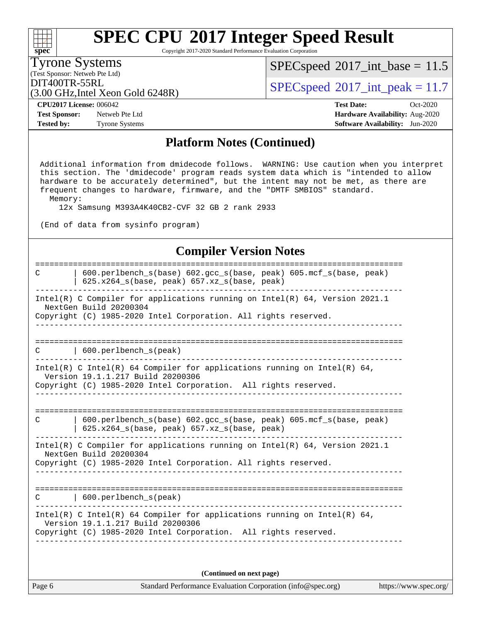Copyright 2017-2020 Standard Performance Evaluation Corporation

(Test Sponsor: Netweb Pte Ltd) Tyrone Systems

**[spec](http://www.spec.org/)**

 $SPECspeed^{\circledcirc}2017\_int\_base = 11.5$  $SPECspeed^{\circledcirc}2017\_int\_base = 11.5$ 

(3.00 GHz,Intel Xeon Gold 6248R)

 $\text{DIT400TR-55RL}$ <br>(3.00 GHz Intel Year Gold 6248R)

**[Test Sponsor:](http://www.spec.org/auto/cpu2017/Docs/result-fields.html#TestSponsor)** Netweb Pte Ltd **[Hardware Availability:](http://www.spec.org/auto/cpu2017/Docs/result-fields.html#HardwareAvailability)** Aug-2020 **[Tested by:](http://www.spec.org/auto/cpu2017/Docs/result-fields.html#Testedby)** Tyrone Systems **[Software Availability:](http://www.spec.org/auto/cpu2017/Docs/result-fields.html#SoftwareAvailability)** Jun-2020

**[CPU2017 License:](http://www.spec.org/auto/cpu2017/Docs/result-fields.html#CPU2017License)** 006042 **[Test Date:](http://www.spec.org/auto/cpu2017/Docs/result-fields.html#TestDate)** Oct-2020

#### **[Platform Notes \(Continued\)](http://www.spec.org/auto/cpu2017/Docs/result-fields.html#PlatformNotes)**

 Additional information from dmidecode follows. WARNING: Use caution when you interpret this section. The 'dmidecode' program reads system data which is "intended to allow hardware to be accurately determined", but the intent may not be met, as there are frequent changes to hardware, firmware, and the "DMTF SMBIOS" standard. Memory:

12x Samsung M393A4K40CB2-CVF 32 GB 2 rank 2933

(End of data from sysinfo program)

#### **[Compiler Version Notes](http://www.spec.org/auto/cpu2017/Docs/result-fields.html#CompilerVersionNotes)**

| C | 600.perlbench_s(base) 602.gcc_s(base, peak) 605.mcf_s(base, peak)<br>625.x264_s(base, peak) 657.xz_s(base, peak)                                                                 |
|---|----------------------------------------------------------------------------------------------------------------------------------------------------------------------------------|
|   | Intel(R) C Compiler for applications running on Intel(R) $64$ , Version 2021.1<br>NextGen Build 20200304                                                                         |
|   | Copyright (C) 1985-2020 Intel Corporation. All rights reserved.                                                                                                                  |
| C | $\vert$ 600.perlbench_s(peak)                                                                                                                                                    |
|   | Intel(R) C Intel(R) 64 Compiler for applications running on Intel(R) 64,<br>Version 19.1.1.217 Build 20200306<br>Copyright (C) 1985-2020 Intel Corporation. All rights reserved. |
| C | 600.perlbench_s(base) 602.gcc_s(base, peak) 605.mcf_s(base, peak)                                                                                                                |
|   | $625.x264_s(base, peak)$ 657.xz <sub>_S</sub> (base, peak)                                                                                                                       |
|   | Intel(R) C Compiler for applications running on Intel(R) $64$ , Version 2021.1<br>NextGen Build 20200304<br>Copyright (C) 1985-2020 Intel Corporation. All rights reserved.      |
|   | ---------------------------------                                                                                                                                                |
| C | $\vert$ 600. perlbench s(peak)                                                                                                                                                   |
|   | Intel(R) C Intel(R) 64 Compiler for applications running on Intel(R) 64,<br>Version 19.1.1.217 Build 20200306<br>Copyright (C) 1985-2020 Intel Corporation. All rights reserved. |
|   |                                                                                                                                                                                  |

**(Continued on next page)**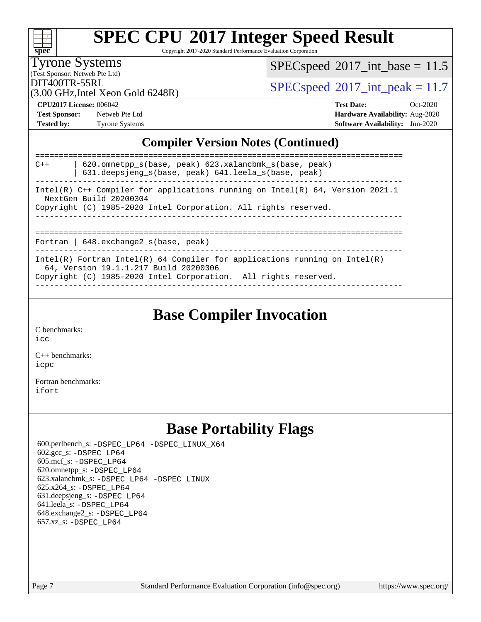| S<br>oeo<br>L. |  |  |  |  |
|----------------|--|--|--|--|

Copyright 2017-2020 Standard Performance Evaluation Corporation

Tyrone Systems

 $SPECspeed*2017\_int\_base = 11.5$  $SPECspeed*2017\_int\_base = 11.5$ 

(Test Sponsor: Netweb Pte Ltd)

 $DIT400TR-55RL$ <br>[SPECspeed](http://www.spec.org/auto/cpu2017/Docs/result-fields.html#SPECspeed2017intpeak)®[2017\\_int\\_peak = 1](http://www.spec.org/auto/cpu2017/Docs/result-fields.html#SPECspeed2017intpeak)1.7

(3.00 GHz,Intel Xeon Gold 6248R)

**[Test Sponsor:](http://www.spec.org/auto/cpu2017/Docs/result-fields.html#TestSponsor)** Netweb Pte Ltd **[Hardware Availability:](http://www.spec.org/auto/cpu2017/Docs/result-fields.html#HardwareAvailability)** Aug-2020

**[CPU2017 License:](http://www.spec.org/auto/cpu2017/Docs/result-fields.html#CPU2017License)** 006042 **[Test Date:](http://www.spec.org/auto/cpu2017/Docs/result-fields.html#TestDate)** Oct-2020 [Tested by:](http://www.spec.org/auto/cpu2017/Docs/result-fields.html#Testedby) Tyrone Systems **[Software Availability:](http://www.spec.org/auto/cpu2017/Docs/result-fields.html#SoftwareAvailability)** Jun-2020

### **[Compiler Version Notes \(Continued\)](http://www.spec.org/auto/cpu2017/Docs/result-fields.html#CompilerVersionNotes)**

| $C++$ | $620$ .omnetpp $s(base, peak)$ $623$ .xalancbmk $s(base, peak)$<br>631.deepsjeng s(base, peak) 641.leela s(base, peak)                                                                 |
|-------|----------------------------------------------------------------------------------------------------------------------------------------------------------------------------------------|
|       | Intel(R) $C++$ Compiler for applications running on Intel(R) 64, Version 2021.1<br>NextGen Build 20200304<br>Copyright (C) 1985-2020 Intel Corporation. All rights reserved.           |
|       | Fortran   $648$ . exchange2 $s$ (base, peak)                                                                                                                                           |
|       | Intel(R) Fortran Intel(R) 64 Compiler for applications running on Intel(R)<br>64, Version 19.1.1.217 Build 20200306<br>Copyright (C) 1985-2020 Intel Corporation. All rights reserved. |

### **[Base Compiler Invocation](http://www.spec.org/auto/cpu2017/Docs/result-fields.html#BaseCompilerInvocation)**

[C benchmarks](http://www.spec.org/auto/cpu2017/Docs/result-fields.html#Cbenchmarks):

[icc](http://www.spec.org/cpu2017/results/res2020q4/cpu2017-20201012-24147.flags.html#user_CCbase_intel_icc_66fc1ee009f7361af1fbd72ca7dcefbb700085f36577c54f309893dd4ec40d12360134090235512931783d35fd58c0460139e722d5067c5574d8eaf2b3e37e92)

[C++ benchmarks:](http://www.spec.org/auto/cpu2017/Docs/result-fields.html#CXXbenchmarks) [icpc](http://www.spec.org/cpu2017/results/res2020q4/cpu2017-20201012-24147.flags.html#user_CXXbase_intel_icpc_c510b6838c7f56d33e37e94d029a35b4a7bccf4766a728ee175e80a419847e808290a9b78be685c44ab727ea267ec2f070ec5dc83b407c0218cded6866a35d07)

[Fortran benchmarks](http://www.spec.org/auto/cpu2017/Docs/result-fields.html#Fortranbenchmarks): [ifort](http://www.spec.org/cpu2017/results/res2020q4/cpu2017-20201012-24147.flags.html#user_FCbase_intel_ifort_8111460550e3ca792625aed983ce982f94888b8b503583aa7ba2b8303487b4d8a21a13e7191a45c5fd58ff318f48f9492884d4413fa793fd88dd292cad7027ca)

## **[Base Portability Flags](http://www.spec.org/auto/cpu2017/Docs/result-fields.html#BasePortabilityFlags)**

 600.perlbench\_s: [-DSPEC\\_LP64](http://www.spec.org/cpu2017/results/res2020q4/cpu2017-20201012-24147.flags.html#b600.perlbench_s_basePORTABILITY_DSPEC_LP64) [-DSPEC\\_LINUX\\_X64](http://www.spec.org/cpu2017/results/res2020q4/cpu2017-20201012-24147.flags.html#b600.perlbench_s_baseCPORTABILITY_DSPEC_LINUX_X64) 602.gcc\_s: [-DSPEC\\_LP64](http://www.spec.org/cpu2017/results/res2020q4/cpu2017-20201012-24147.flags.html#suite_basePORTABILITY602_gcc_s_DSPEC_LP64) 605.mcf\_s: [-DSPEC\\_LP64](http://www.spec.org/cpu2017/results/res2020q4/cpu2017-20201012-24147.flags.html#suite_basePORTABILITY605_mcf_s_DSPEC_LP64) 620.omnetpp\_s: [-DSPEC\\_LP64](http://www.spec.org/cpu2017/results/res2020q4/cpu2017-20201012-24147.flags.html#suite_basePORTABILITY620_omnetpp_s_DSPEC_LP64) 623.xalancbmk\_s: [-DSPEC\\_LP64](http://www.spec.org/cpu2017/results/res2020q4/cpu2017-20201012-24147.flags.html#suite_basePORTABILITY623_xalancbmk_s_DSPEC_LP64) [-DSPEC\\_LINUX](http://www.spec.org/cpu2017/results/res2020q4/cpu2017-20201012-24147.flags.html#b623.xalancbmk_s_baseCXXPORTABILITY_DSPEC_LINUX) 625.x264\_s: [-DSPEC\\_LP64](http://www.spec.org/cpu2017/results/res2020q4/cpu2017-20201012-24147.flags.html#suite_basePORTABILITY625_x264_s_DSPEC_LP64) 631.deepsjeng\_s: [-DSPEC\\_LP64](http://www.spec.org/cpu2017/results/res2020q4/cpu2017-20201012-24147.flags.html#suite_basePORTABILITY631_deepsjeng_s_DSPEC_LP64) 641.leela\_s: [-DSPEC\\_LP64](http://www.spec.org/cpu2017/results/res2020q4/cpu2017-20201012-24147.flags.html#suite_basePORTABILITY641_leela_s_DSPEC_LP64) 648.exchange2\_s: [-DSPEC\\_LP64](http://www.spec.org/cpu2017/results/res2020q4/cpu2017-20201012-24147.flags.html#suite_basePORTABILITY648_exchange2_s_DSPEC_LP64) 657.xz\_s: [-DSPEC\\_LP64](http://www.spec.org/cpu2017/results/res2020q4/cpu2017-20201012-24147.flags.html#suite_basePORTABILITY657_xz_s_DSPEC_LP64)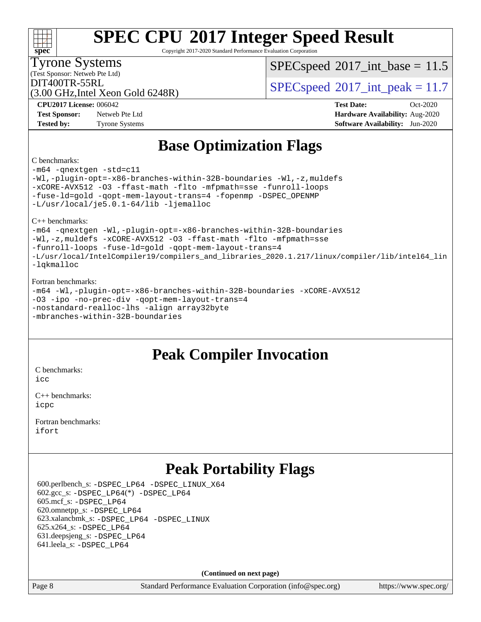Copyright 2017-2020 Standard Performance Evaluation Corporation

(Test Sponsor: Netweb Pte Ltd) Tyrone Systems

**[spec](http://www.spec.org/)**

 $SPECspeed^{\circ}2017\_int\_base = 11.5$  $SPECspeed^{\circ}2017\_int\_base = 11.5$ 

(3.00 GHz,Intel Xeon Gold 6248R)

DIT400TR-55RL<br> $SPEC speed^{\circ}2017$ \_int\_peak = 11.7

**[Test Sponsor:](http://www.spec.org/auto/cpu2017/Docs/result-fields.html#TestSponsor)** Netweb Pte Ltd **[Hardware Availability:](http://www.spec.org/auto/cpu2017/Docs/result-fields.html#HardwareAvailability)** Aug-2020 **[Tested by:](http://www.spec.org/auto/cpu2017/Docs/result-fields.html#Testedby)** Tyrone Systems **[Software Availability:](http://www.spec.org/auto/cpu2017/Docs/result-fields.html#SoftwareAvailability)** Jun-2020

**[CPU2017 License:](http://www.spec.org/auto/cpu2017/Docs/result-fields.html#CPU2017License)** 006042 **[Test Date:](http://www.spec.org/auto/cpu2017/Docs/result-fields.html#TestDate)** Oct-2020

### **[Base Optimization Flags](http://www.spec.org/auto/cpu2017/Docs/result-fields.html#BaseOptimizationFlags)**

#### [C benchmarks:](http://www.spec.org/auto/cpu2017/Docs/result-fields.html#Cbenchmarks)

[-m64](http://www.spec.org/cpu2017/results/res2020q4/cpu2017-20201012-24147.flags.html#user_CCbase_m64-icc) [-qnextgen](http://www.spec.org/cpu2017/results/res2020q4/cpu2017-20201012-24147.flags.html#user_CCbase_f-qnextgen) [-std=c11](http://www.spec.org/cpu2017/results/res2020q4/cpu2017-20201012-24147.flags.html#user_CCbase_std-icc-std_0e1c27790398a4642dfca32ffe6c27b5796f9c2d2676156f2e42c9c44eaad0c049b1cdb667a270c34d979996257aeb8fc440bfb01818dbc9357bd9d174cb8524) [-Wl,-plugin-opt=-x86-branches-within-32B-boundaries](http://www.spec.org/cpu2017/results/res2020q4/cpu2017-20201012-24147.flags.html#user_CCbase_f-x86-branches-within-32B-boundaries_0098b4e4317ae60947b7b728078a624952a08ac37a3c797dfb4ffeb399e0c61a9dd0f2f44ce917e9361fb9076ccb15e7824594512dd315205382d84209e912f3) [-Wl,-z,muldefs](http://www.spec.org/cpu2017/results/res2020q4/cpu2017-20201012-24147.flags.html#user_CCbase_link_force_multiple1_b4cbdb97b34bdee9ceefcfe54f4c8ea74255f0b02a4b23e853cdb0e18eb4525ac79b5a88067c842dd0ee6996c24547a27a4b99331201badda8798ef8a743f577) [-xCORE-AVX512](http://www.spec.org/cpu2017/results/res2020q4/cpu2017-20201012-24147.flags.html#user_CCbase_f-xCORE-AVX512) [-O3](http://www.spec.org/cpu2017/results/res2020q4/cpu2017-20201012-24147.flags.html#user_CCbase_f-O3) [-ffast-math](http://www.spec.org/cpu2017/results/res2020q4/cpu2017-20201012-24147.flags.html#user_CCbase_f-ffast-math) [-flto](http://www.spec.org/cpu2017/results/res2020q4/cpu2017-20201012-24147.flags.html#user_CCbase_f-flto) [-mfpmath=sse](http://www.spec.org/cpu2017/results/res2020q4/cpu2017-20201012-24147.flags.html#user_CCbase_f-mfpmath_70eb8fac26bde974f8ab713bc9086c5621c0b8d2f6c86f38af0bd7062540daf19db5f3a066d8c6684be05d84c9b6322eb3b5be6619d967835195b93d6c02afa1) [-funroll-loops](http://www.spec.org/cpu2017/results/res2020q4/cpu2017-20201012-24147.flags.html#user_CCbase_f-funroll-loops) [-fuse-ld=gold](http://www.spec.org/cpu2017/results/res2020q4/cpu2017-20201012-24147.flags.html#user_CCbase_f-fuse-ld_920b3586e2b8c6e0748b9c84fa9b744736ba725a32cab14ad8f3d4ad28eecb2f59d1144823d2e17006539a88734fe1fc08fc3035f7676166309105a78aaabc32) [-qopt-mem-layout-trans=4](http://www.spec.org/cpu2017/results/res2020q4/cpu2017-20201012-24147.flags.html#user_CCbase_f-qopt-mem-layout-trans_fa39e755916c150a61361b7846f310bcdf6f04e385ef281cadf3647acec3f0ae266d1a1d22d972a7087a248fd4e6ca390a3634700869573d231a252c784941a8) [-fopenmp](http://www.spec.org/cpu2017/results/res2020q4/cpu2017-20201012-24147.flags.html#user_CCbase_fopenmp_5aa2e47ce4f2ef030ba5d12d5a7a9c4e57167333d78243fcadb80b48d5abb78ff19333f8478e0b2a41e63049eb285965c145ccab7b93db7d0c4d59e4dc6f5591) [-DSPEC\\_OPENMP](http://www.spec.org/cpu2017/results/res2020q4/cpu2017-20201012-24147.flags.html#suite_CCbase_DSPEC_OPENMP) [-L/usr/local/je5.0.1-64/lib](http://www.spec.org/cpu2017/results/res2020q4/cpu2017-20201012-24147.flags.html#user_CCbase_jemalloc_link_path64_4b10a636b7bce113509b17f3bd0d6226c5fb2346b9178c2d0232c14f04ab830f976640479e5c33dc2bcbbdad86ecfb6634cbbd4418746f06f368b512fced5394) [-ljemalloc](http://www.spec.org/cpu2017/results/res2020q4/cpu2017-20201012-24147.flags.html#user_CCbase_jemalloc_link_lib_d1249b907c500fa1c0672f44f562e3d0f79738ae9e3c4a9c376d49f265a04b9c99b167ecedbf6711b3085be911c67ff61f150a17b3472be731631ba4d0471706)

[C++ benchmarks](http://www.spec.org/auto/cpu2017/Docs/result-fields.html#CXXbenchmarks):

[-m64](http://www.spec.org/cpu2017/results/res2020q4/cpu2017-20201012-24147.flags.html#user_CXXbase_m64-icc) [-qnextgen](http://www.spec.org/cpu2017/results/res2020q4/cpu2017-20201012-24147.flags.html#user_CXXbase_f-qnextgen) [-Wl,-plugin-opt=-x86-branches-within-32B-boundaries](http://www.spec.org/cpu2017/results/res2020q4/cpu2017-20201012-24147.flags.html#user_CXXbase_f-x86-branches-within-32B-boundaries_0098b4e4317ae60947b7b728078a624952a08ac37a3c797dfb4ffeb399e0c61a9dd0f2f44ce917e9361fb9076ccb15e7824594512dd315205382d84209e912f3) [-Wl,-z,muldefs](http://www.spec.org/cpu2017/results/res2020q4/cpu2017-20201012-24147.flags.html#user_CXXbase_link_force_multiple1_b4cbdb97b34bdee9ceefcfe54f4c8ea74255f0b02a4b23e853cdb0e18eb4525ac79b5a88067c842dd0ee6996c24547a27a4b99331201badda8798ef8a743f577) [-xCORE-AVX512](http://www.spec.org/cpu2017/results/res2020q4/cpu2017-20201012-24147.flags.html#user_CXXbase_f-xCORE-AVX512) [-O3](http://www.spec.org/cpu2017/results/res2020q4/cpu2017-20201012-24147.flags.html#user_CXXbase_f-O3) [-ffast-math](http://www.spec.org/cpu2017/results/res2020q4/cpu2017-20201012-24147.flags.html#user_CXXbase_f-ffast-math) [-flto](http://www.spec.org/cpu2017/results/res2020q4/cpu2017-20201012-24147.flags.html#user_CXXbase_f-flto) [-mfpmath=sse](http://www.spec.org/cpu2017/results/res2020q4/cpu2017-20201012-24147.flags.html#user_CXXbase_f-mfpmath_70eb8fac26bde974f8ab713bc9086c5621c0b8d2f6c86f38af0bd7062540daf19db5f3a066d8c6684be05d84c9b6322eb3b5be6619d967835195b93d6c02afa1) [-funroll-loops](http://www.spec.org/cpu2017/results/res2020q4/cpu2017-20201012-24147.flags.html#user_CXXbase_f-funroll-loops) [-fuse-ld=gold](http://www.spec.org/cpu2017/results/res2020q4/cpu2017-20201012-24147.flags.html#user_CXXbase_f-fuse-ld_920b3586e2b8c6e0748b9c84fa9b744736ba725a32cab14ad8f3d4ad28eecb2f59d1144823d2e17006539a88734fe1fc08fc3035f7676166309105a78aaabc32) [-qopt-mem-layout-trans=4](http://www.spec.org/cpu2017/results/res2020q4/cpu2017-20201012-24147.flags.html#user_CXXbase_f-qopt-mem-layout-trans_fa39e755916c150a61361b7846f310bcdf6f04e385ef281cadf3647acec3f0ae266d1a1d22d972a7087a248fd4e6ca390a3634700869573d231a252c784941a8) [-L/usr/local/IntelCompiler19/compilers\\_and\\_libraries\\_2020.1.217/linux/compiler/lib/intel64\\_lin](http://www.spec.org/cpu2017/results/res2020q4/cpu2017-20201012-24147.flags.html#user_CXXbase_linkpath_2cb6f503891ebf8baee7515f4e7d4ec1217444d1d05903cc0091ac4158de400651d2b2313a9fa414cb8a8f0e16ab029634f5c6db340f400369c190d4db8a54a0) [-lqkmalloc](http://www.spec.org/cpu2017/results/res2020q4/cpu2017-20201012-24147.flags.html#user_CXXbase_qkmalloc_link_lib_79a818439969f771c6bc311cfd333c00fc099dad35c030f5aab9dda831713d2015205805422f83de8875488a2991c0a156aaa600e1f9138f8fc37004abc96dc5)

#### [Fortran benchmarks](http://www.spec.org/auto/cpu2017/Docs/result-fields.html#Fortranbenchmarks):

[-m64](http://www.spec.org/cpu2017/results/res2020q4/cpu2017-20201012-24147.flags.html#user_FCbase_m64-icc) [-Wl,-plugin-opt=-x86-branches-within-32B-boundaries](http://www.spec.org/cpu2017/results/res2020q4/cpu2017-20201012-24147.flags.html#user_FCbase_f-x86-branches-within-32B-boundaries_0098b4e4317ae60947b7b728078a624952a08ac37a3c797dfb4ffeb399e0c61a9dd0f2f44ce917e9361fb9076ccb15e7824594512dd315205382d84209e912f3) [-xCORE-AVX512](http://www.spec.org/cpu2017/results/res2020q4/cpu2017-20201012-24147.flags.html#user_FCbase_f-xCORE-AVX512) [-O3](http://www.spec.org/cpu2017/results/res2020q4/cpu2017-20201012-24147.flags.html#user_FCbase_f-O3) [-ipo](http://www.spec.org/cpu2017/results/res2020q4/cpu2017-20201012-24147.flags.html#user_FCbase_f-ipo) [-no-prec-div](http://www.spec.org/cpu2017/results/res2020q4/cpu2017-20201012-24147.flags.html#user_FCbase_f-no-prec-div) [-qopt-mem-layout-trans=4](http://www.spec.org/cpu2017/results/res2020q4/cpu2017-20201012-24147.flags.html#user_FCbase_f-qopt-mem-layout-trans_fa39e755916c150a61361b7846f310bcdf6f04e385ef281cadf3647acec3f0ae266d1a1d22d972a7087a248fd4e6ca390a3634700869573d231a252c784941a8) [-nostandard-realloc-lhs](http://www.spec.org/cpu2017/results/res2020q4/cpu2017-20201012-24147.flags.html#user_FCbase_f_2003_std_realloc_82b4557e90729c0f113870c07e44d33d6f5a304b4f63d4c15d2d0f1fab99f5daaed73bdb9275d9ae411527f28b936061aa8b9c8f2d63842963b95c9dd6426b8a) [-align array32byte](http://www.spec.org/cpu2017/results/res2020q4/cpu2017-20201012-24147.flags.html#user_FCbase_align_array32byte_b982fe038af199962ba9a80c053b8342c548c85b40b8e86eb3cc33dee0d7986a4af373ac2d51c3f7cf710a18d62fdce2948f201cd044323541f22fc0fffc51b6) [-mbranches-within-32B-boundaries](http://www.spec.org/cpu2017/results/res2020q4/cpu2017-20201012-24147.flags.html#user_FCbase_f-mbranches-within-32B-boundaries)

### **[Peak Compiler Invocation](http://www.spec.org/auto/cpu2017/Docs/result-fields.html#PeakCompilerInvocation)**

[C benchmarks](http://www.spec.org/auto/cpu2017/Docs/result-fields.html#Cbenchmarks):

[icc](http://www.spec.org/cpu2017/results/res2020q4/cpu2017-20201012-24147.flags.html#user_CCpeak_intel_icc_66fc1ee009f7361af1fbd72ca7dcefbb700085f36577c54f309893dd4ec40d12360134090235512931783d35fd58c0460139e722d5067c5574d8eaf2b3e37e92)

[C++ benchmarks:](http://www.spec.org/auto/cpu2017/Docs/result-fields.html#CXXbenchmarks) [icpc](http://www.spec.org/cpu2017/results/res2020q4/cpu2017-20201012-24147.flags.html#user_CXXpeak_intel_icpc_c510b6838c7f56d33e37e94d029a35b4a7bccf4766a728ee175e80a419847e808290a9b78be685c44ab727ea267ec2f070ec5dc83b407c0218cded6866a35d07)

[Fortran benchmarks](http://www.spec.org/auto/cpu2017/Docs/result-fields.html#Fortranbenchmarks): [ifort](http://www.spec.org/cpu2017/results/res2020q4/cpu2017-20201012-24147.flags.html#user_FCpeak_intel_ifort_8111460550e3ca792625aed983ce982f94888b8b503583aa7ba2b8303487b4d8a21a13e7191a45c5fd58ff318f48f9492884d4413fa793fd88dd292cad7027ca)

### **[Peak Portability Flags](http://www.spec.org/auto/cpu2017/Docs/result-fields.html#PeakPortabilityFlags)**

 600.perlbench\_s: [-DSPEC\\_LP64](http://www.spec.org/cpu2017/results/res2020q4/cpu2017-20201012-24147.flags.html#b600.perlbench_s_peakPORTABILITY_DSPEC_LP64) [-DSPEC\\_LINUX\\_X64](http://www.spec.org/cpu2017/results/res2020q4/cpu2017-20201012-24147.flags.html#b600.perlbench_s_peakCPORTABILITY_DSPEC_LINUX_X64) 602.gcc\_s: [-DSPEC\\_LP64](http://www.spec.org/cpu2017/results/res2020q4/cpu2017-20201012-24147.flags.html#suite_peakCCLD602_gcc_s_DSPEC_LP64)(\*) [-DSPEC\\_LP64](http://www.spec.org/cpu2017/results/res2020q4/cpu2017-20201012-24147.flags.html#suite_peakPORTABILITY602_gcc_s_DSPEC_LP64) 605.mcf\_s: [-DSPEC\\_LP64](http://www.spec.org/cpu2017/results/res2020q4/cpu2017-20201012-24147.flags.html#suite_peakPORTABILITY605_mcf_s_DSPEC_LP64) 620.omnetpp\_s: [-DSPEC\\_LP64](http://www.spec.org/cpu2017/results/res2020q4/cpu2017-20201012-24147.flags.html#suite_peakPORTABILITY620_omnetpp_s_DSPEC_LP64) 623.xalancbmk\_s: [-DSPEC\\_LP64](http://www.spec.org/cpu2017/results/res2020q4/cpu2017-20201012-24147.flags.html#suite_peakPORTABILITY623_xalancbmk_s_DSPEC_LP64) [-DSPEC\\_LINUX](http://www.spec.org/cpu2017/results/res2020q4/cpu2017-20201012-24147.flags.html#b623.xalancbmk_s_peakCXXPORTABILITY_DSPEC_LINUX) 625.x264\_s: [-DSPEC\\_LP64](http://www.spec.org/cpu2017/results/res2020q4/cpu2017-20201012-24147.flags.html#suite_peakPORTABILITY625_x264_s_DSPEC_LP64) 631.deepsjeng\_s: [-DSPEC\\_LP64](http://www.spec.org/cpu2017/results/res2020q4/cpu2017-20201012-24147.flags.html#suite_peakPORTABILITY631_deepsjeng_s_DSPEC_LP64) 641.leela\_s: [-DSPEC\\_LP64](http://www.spec.org/cpu2017/results/res2020q4/cpu2017-20201012-24147.flags.html#suite_peakPORTABILITY641_leela_s_DSPEC_LP64)

**(Continued on next page)**

Page 8 Standard Performance Evaluation Corporation [\(info@spec.org\)](mailto:info@spec.org) <https://www.spec.org/>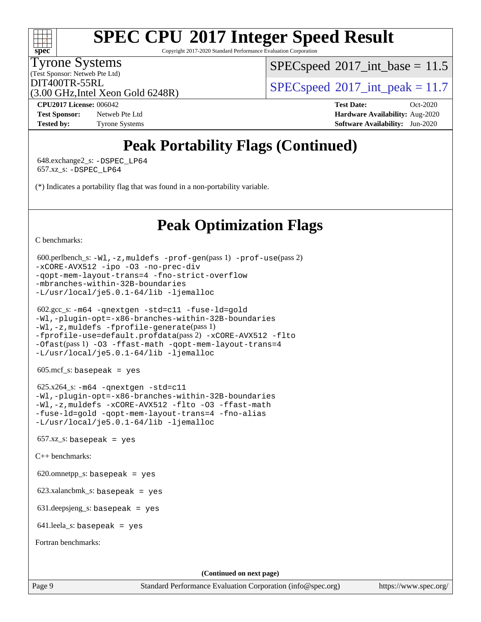Copyright 2017-2020 Standard Performance Evaluation Corporation

Tyrone Systems

**[spec](http://www.spec.org/)**

(Test Sponsor: Netweb Pte Ltd)

 $SPECspeed^{\circ}2017\_int\_base = 11.5$  $SPECspeed^{\circ}2017\_int\_base = 11.5$ 

(3.00 GHz,Intel Xeon Gold 6248R)

 $DIT400TR-55RL$ <br>[SPECspeed](http://www.spec.org/auto/cpu2017/Docs/result-fields.html#SPECspeed2017intpeak)®[2017\\_int\\_peak = 1](http://www.spec.org/auto/cpu2017/Docs/result-fields.html#SPECspeed2017intpeak)1.7

**[Test Sponsor:](http://www.spec.org/auto/cpu2017/Docs/result-fields.html#TestSponsor)** Netweb Pte Ltd **[Hardware Availability:](http://www.spec.org/auto/cpu2017/Docs/result-fields.html#HardwareAvailability)** Aug-2020 **[Tested by:](http://www.spec.org/auto/cpu2017/Docs/result-fields.html#Testedby)** Tyrone Systems **[Software Availability:](http://www.spec.org/auto/cpu2017/Docs/result-fields.html#SoftwareAvailability)** Jun-2020

**[CPU2017 License:](http://www.spec.org/auto/cpu2017/Docs/result-fields.html#CPU2017License)** 006042 **[Test Date:](http://www.spec.org/auto/cpu2017/Docs/result-fields.html#TestDate)** Oct-2020

## **[Peak Portability Flags \(Continued\)](http://www.spec.org/auto/cpu2017/Docs/result-fields.html#PeakPortabilityFlags)**

 648.exchange2\_s: [-DSPEC\\_LP64](http://www.spec.org/cpu2017/results/res2020q4/cpu2017-20201012-24147.flags.html#suite_peakPORTABILITY648_exchange2_s_DSPEC_LP64) 657.xz\_s: [-DSPEC\\_LP64](http://www.spec.org/cpu2017/results/res2020q4/cpu2017-20201012-24147.flags.html#suite_peakPORTABILITY657_xz_s_DSPEC_LP64)

(\*) Indicates a portability flag that was found in a non-portability variable.

## **[Peak Optimization Flags](http://www.spec.org/auto/cpu2017/Docs/result-fields.html#PeakOptimizationFlags)**

[C benchmarks](http://www.spec.org/auto/cpu2017/Docs/result-fields.html#Cbenchmarks):

```
 600.perlbench_s: -Wl,-z,muldefs -prof-gen(pass 1) -prof-use(pass 2)
-xCORE-AVX512 -ipo -O3 -no-prec-div
-qopt-mem-layout-trans=4 -fno-strict-overflow
-mbranches-within-32B-boundaries
-L/usr/local/je5.0.1-64/lib -ljemalloc
```

```
 602.gcc_s: -m64 -qnextgen -std=c11 -fuse-ld=gold
-Wl,-plugin-opt=-x86-branches-within-32B-boundaries
-Wl,-z,muldefs -fprofile-generate(pass 1)
-fprofile-use=default.profdata(pass 2) -xCORE-AVX512 -flto
-Ofast(pass 1) -O3 -ffast-math -qopt-mem-layout-trans=4
-L/usr/local/je5.0.1-64/lib -ljemalloc
```
605.mcf\_s: basepeak = yes

 625.x264\_s: [-m64](http://www.spec.org/cpu2017/results/res2020q4/cpu2017-20201012-24147.flags.html#user_peakCCLD625_x264_s_m64-icc) [-qnextgen](http://www.spec.org/cpu2017/results/res2020q4/cpu2017-20201012-24147.flags.html#user_peakCCLD625_x264_s_f-qnextgen) [-std=c11](http://www.spec.org/cpu2017/results/res2020q4/cpu2017-20201012-24147.flags.html#user_peakCCLD625_x264_s_std-icc-std_0e1c27790398a4642dfca32ffe6c27b5796f9c2d2676156f2e42c9c44eaad0c049b1cdb667a270c34d979996257aeb8fc440bfb01818dbc9357bd9d174cb8524) [-Wl,-plugin-opt=-x86-branches-within-32B-boundaries](http://www.spec.org/cpu2017/results/res2020q4/cpu2017-20201012-24147.flags.html#user_peakLDFLAGS625_x264_s_f-x86-branches-within-32B-boundaries_0098b4e4317ae60947b7b728078a624952a08ac37a3c797dfb4ffeb399e0c61a9dd0f2f44ce917e9361fb9076ccb15e7824594512dd315205382d84209e912f3) [-Wl,-z,muldefs](http://www.spec.org/cpu2017/results/res2020q4/cpu2017-20201012-24147.flags.html#user_peakEXTRA_LDFLAGS625_x264_s_link_force_multiple1_b4cbdb97b34bdee9ceefcfe54f4c8ea74255f0b02a4b23e853cdb0e18eb4525ac79b5a88067c842dd0ee6996c24547a27a4b99331201badda8798ef8a743f577) [-xCORE-AVX512](http://www.spec.org/cpu2017/results/res2020q4/cpu2017-20201012-24147.flags.html#user_peakCOPTIMIZE625_x264_s_f-xCORE-AVX512) [-flto](http://www.spec.org/cpu2017/results/res2020q4/cpu2017-20201012-24147.flags.html#user_peakCOPTIMIZE625_x264_s_f-flto) [-O3](http://www.spec.org/cpu2017/results/res2020q4/cpu2017-20201012-24147.flags.html#user_peakCOPTIMIZE625_x264_s_f-O3) [-ffast-math](http://www.spec.org/cpu2017/results/res2020q4/cpu2017-20201012-24147.flags.html#user_peakCOPTIMIZE625_x264_s_f-ffast-math) [-fuse-ld=gold](http://www.spec.org/cpu2017/results/res2020q4/cpu2017-20201012-24147.flags.html#user_peakCOPTIMIZE625_x264_s_f-fuse-ld_920b3586e2b8c6e0748b9c84fa9b744736ba725a32cab14ad8f3d4ad28eecb2f59d1144823d2e17006539a88734fe1fc08fc3035f7676166309105a78aaabc32) [-qopt-mem-layout-trans=4](http://www.spec.org/cpu2017/results/res2020q4/cpu2017-20201012-24147.flags.html#user_peakCOPTIMIZE625_x264_s_f-qopt-mem-layout-trans_fa39e755916c150a61361b7846f310bcdf6f04e385ef281cadf3647acec3f0ae266d1a1d22d972a7087a248fd4e6ca390a3634700869573d231a252c784941a8) [-fno-alias](http://www.spec.org/cpu2017/results/res2020q4/cpu2017-20201012-24147.flags.html#user_peakEXTRA_OPTIMIZE625_x264_s_f-no-alias_77dbac10d91cbfe898fbf4a29d1b29b694089caa623bdd1baccc9957d4edbe8d106c0b357e2748a65b44fc9e83d78098bb898077f3fe92f9faf24f7bd4a07ed7) [-L/usr/local/je5.0.1-64/lib](http://www.spec.org/cpu2017/results/res2020q4/cpu2017-20201012-24147.flags.html#user_peakEXTRA_LIBS625_x264_s_jemalloc_link_path64_4b10a636b7bce113509b17f3bd0d6226c5fb2346b9178c2d0232c14f04ab830f976640479e5c33dc2bcbbdad86ecfb6634cbbd4418746f06f368b512fced5394) [-ljemalloc](http://www.spec.org/cpu2017/results/res2020q4/cpu2017-20201012-24147.flags.html#user_peakEXTRA_LIBS625_x264_s_jemalloc_link_lib_d1249b907c500fa1c0672f44f562e3d0f79738ae9e3c4a9c376d49f265a04b9c99b167ecedbf6711b3085be911c67ff61f150a17b3472be731631ba4d0471706)

 $657.xz$ \_s: basepeak = yes

[C++ benchmarks:](http://www.spec.org/auto/cpu2017/Docs/result-fields.html#CXXbenchmarks)

620.omnetpp\_s: basepeak = yes

623.xalancbmk\_s: basepeak = yes

631.deepsjeng\_s: basepeak = yes

641.leela\_s: basepeak = yes

[Fortran benchmarks](http://www.spec.org/auto/cpu2017/Docs/result-fields.html#Fortranbenchmarks):

**(Continued on next page)**